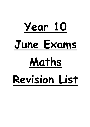# **Year 10 June Exams Maths Revision List**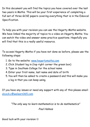In this document you will find the topics you have covered over the last two years in Maths. This will be your first experience of completing a full set of three GCSE papers covering everything that is in the Edexcel Specification.

To help you with your revision you can use the Hegarty Maths website. We have linked the majority of topics to a video on Hegarty Maths. You can watch the video and answer some practice questions. Hopefully you will find that this is a really useful resource.

To access Hegarty Maths if you have not done so before, please use the following steps:

- 1. Go to the website: [www.hegartymaths.com](http://www.hegartymaths.com/)
- 2. Click Student log in (top right corner the green box)
- 3. Type in Southam College for the school name
- 4. Enter your first name, last name and date of birth
- 5. You will then be asked to create a password and this will make you a log in that you can keep using.

If you have any issues or need any support with any of this please email: [alcock.c@welearn365.com](mailto:alcock.c@welearn365.com)

*"The only way to learn mathematics is to do mathematics"*

-Paul Halmos

Good luck with your revision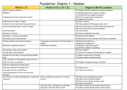#### Foundation: Chapter 1 - Number

| Ability 1-3                                           | Ability 4-5 (+ all 1-3)                        | <b>Hegarty Maths Lessons</b>                              |
|-------------------------------------------------------|------------------------------------------------|-----------------------------------------------------------|
| Rules of negative numbers.                            |                                                | 41 Adding & subtracting positive & negative numbers       |
| <b>BIDMAS</b>                                         |                                                | 42 Multiplying positive & negative numbers                |
|                                                       |                                                | 43 Dividing positive & negative numbers                   |
| Simplifying fractions to help with division           |                                                | 150 Order of operations 4 (combined)                      |
|                                                       |                                                | 61 Simplifying fractions                                  |
| Understand "not equal to symbol                       |                                                | 99 Square numbers                                         |
| Inverse function machines & Powers and roots          |                                                | 100 Cube numbers & 101 Square & cube roots                |
| Converting between metric units for length            |                                                | 692 Converting length (1) & 693 Converting length (2)     |
|                                                       |                                                | 694 Converting length (worded problems)                   |
| Bus stop method                                       |                                                | 145 Long division                                         |
| <b>Equivalent fractions</b>                           |                                                | 59 Generate equivalent fractions                          |
| Rounding to a certain decimal place                   |                                                | 56 Round decimal numbers                                  |
| Multiplying and Dividing decimals                     |                                                | 48 Multiplication with decimals & 50 Division of decimals |
| Writing numbers into words and figures                | Using known calculations to find the answer to | 135 Related calculations 1                                |
|                                                       | another                                        | 136 Related calculations 2                                |
| Rounding to significant figures                       | Estimating calculations                        | 130 Round to significant figures                          |
|                                                       |                                                | 131 Estimate complex calculations                         |
| Recognising 2 digit prime numbers                     |                                                | 28 Prime numbers                                          |
| Finding factors and multiples                         |                                                | 27 Factors of a number & 33 Multiple of a number          |
| Finding HCF and LCM by listing (worded problems       |                                                | 31 Highest common factor (listing)                        |
| also)                                                 |                                                | 34 Lowest common multiple (listing)                       |
| Use a calculator to find squares, cubes and roots     |                                                |                                                           |
| Effective use of a calculator                         |                                                | 129 Complex calculations using a calculator               |
| Evaluate expressions involving powers                 |                                                |                                                           |
| Use index notation for powers of 10                   |                                                | 121 Powers of 10                                          |
| Use index notation in calculations                    |                                                | 102 Index form 1 (intro)                                  |
| Converting powers of 10 into fractions and            |                                                |                                                           |
| decimals                                              |                                                |                                                           |
| Use the laws of indices (multiplication, division and | Write a number as a product of its prime       | 105 Index form 4 (multiplying indices)                    |
| brackets)                                             | factors                                        | 106 Index form 5 (dividing indices)                       |
|                                                       |                                                | 107 Index form 6 (power of power rule)                    |
|                                                       |                                                | 29 Prime factorisation 1                                  |
|                                                       | Use prime factor decomposition and Venn        | 32 Highest common factor (prime factorisation)            |
|                                                       | diagrams to find the HCF and LCM               | 35 Lowest common multiple (prime factorisation)           |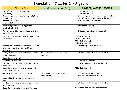# Foundation: Chapter 2 - Algebra

| Ability 1-3                                                                                                                                                                     | Ability 4-5 (+ all 1-3)                                  | <b>Hegarty Maths Lessons</b>                                                                                                                                                                                |
|---------------------------------------------------------------------------------------------------------------------------------------------------------------------------------|----------------------------------------------------------|-------------------------------------------------------------------------------------------------------------------------------------------------------------------------------------------------------------|
| Simplify expressions by adding and<br>subtracting<br>Simplifying simple expressions by multiplying<br>and dividing<br>Write simple expressions<br>e.g. a multiplied by $b = ab$ |                                                          | 156 Collecting like terms 1<br>157 Collecting like terms 2<br>158 Simplifying expressions involving multiplication<br>159 Simplifying expressions involving division<br>151 Writing algebraic expressions 1 |
| Simplifying expressions using powers<br>e.g. $3 \times 3 \times 3 = 3^3$                                                                                                        |                                                          | 102 Index form 1 (intro)                                                                                                                                                                                    |
| Multiply and divide more complex expressions<br>e.g. 8c <sup>^</sup> 4/2c                                                                                                       |                                                          | 175 Indices with algebraic expressions 3                                                                                                                                                                    |
| Substitute positive and negative numbers into<br>expressions                                                                                                                    |                                                          | 780 Substitution (1)<br>781 Substitution (2)<br>782 Substitution (3)<br>784 Substitution (5)                                                                                                                |
| Writing more complex expressions e.g. I think<br>of a number multiply it by 2 and then<br>subtract 5                                                                            |                                                          | 152 Writing algebraic expressions 2                                                                                                                                                                         |
| Recognise the difference between a formula<br>and an expression.                                                                                                                | Write a formula and use it to solve<br>problems          | 155 Writing formulae & simple substitution                                                                                                                                                                  |
| Substitute into formulae                                                                                                                                                        |                                                          |                                                                                                                                                                                                             |
| Expand single brackets                                                                                                                                                          |                                                          | 160 Expand a single bracket                                                                                                                                                                                 |
| Expand and simplify expressions with 2 single<br>brackets                                                                                                                       |                                                          | 161 Expand two single brackets & simplify                                                                                                                                                                   |
| Substitute numbers into an expression with<br>brackets and powers                                                                                                               |                                                          | 783 Substitution (4)                                                                                                                                                                                        |
| Recognise factors of algebraic terms                                                                                                                                            | Factorise algebraic expressions into a<br>single bracket | 168 Factorise simple expressions 1<br>169 Factorise simple expressions 2                                                                                                                                    |
| use the identity symbol and not equal to<br>symbol                                                                                                                              |                                                          |                                                                                                                                                                                                             |
| Write simple expressions and formulae from<br>worded problems                                                                                                                   |                                                          | 155 Writing formulae & simple substitution                                                                                                                                                                  |
| Substitute into maths and science formulae                                                                                                                                      |                                                          | 279 Substitution into important formulae                                                                                                                                                                    |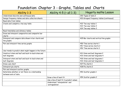### Foundation: Chapter 3 - Graphs, Tables and Charts

| Ability 1-3                                                              | Ability 4-5 (+ all 1-3)                  | <b>Hegarty maths Lesson</b>                                                       |
|--------------------------------------------------------------------------|------------------------------------------|-----------------------------------------------------------------------------------|
| Understand discrete and continuous data                                  |                                          | 393 Types of data 2                                                               |
| Design frequency tables and data collection sheets                       |                                          | 403 Grouped frequency tables (continuous)                                         |
| Read data from tables                                                    |                                          |                                                                                   |
| Create and complete a two way table                                      |                                          | 422 Two way tables 1<br>423 Two way tables 2<br>424 Two way tables 3              |
| Read timetables and distance tables                                      |                                          |                                                                                   |
| Draw and interpret comparative and composite bar<br>charts               |                                          |                                                                                   |
| Interpret and compare data shown in bar charts and<br>line graphs        |                                          | 425 Bar charts and vertical line graphs                                           |
| Plot and interpret time series graphs                                    |                                          | 450 Time series charts 1<br>451 Times series charts 2<br>452 Time series charts 3 |
| Use trends to predict what might happen in the future                    |                                          |                                                                                   |
| Construct stem and leaf and back-to-back stem and<br>leaf diagrams       |                                          | 431 Stem and leaf diagrams 2<br>433 Stem and leaf diagrams 4                      |
| Interpret stem and leaf and back-to-back stem and<br>leaf diagrams       |                                          | 430 Stem and leaf diagrams 1<br>432 Stem and leaf diagrams 3                      |
| Draw a pie chart                                                         |                                          | 427 Pie charts 1                                                                  |
| Interpret pie charts                                                     |                                          | 428 Pie charts 2                                                                  |
| Plot and interpret scatter graphs                                        |                                          |                                                                                   |
| Determine whether or not there is a relationship<br>between sets of data |                                          | 453 Scatter graphs 1                                                              |
|                                                                          | Draw a line of best fit                  | 454 Scatter graphs 2                                                              |
|                                                                          | Use a line of best fir to predict values |                                                                                   |
|                                                                          | Understand 'interpolation' and           |                                                                                   |
|                                                                          | 'extrapolation'                          |                                                                                   |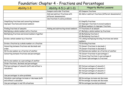### Foundation: Chapter 4 - Fractions and Percentages

| Ability 1-3                                       | Ability 4-5 (+ all 1-3)                                   | <b>Hegarty Maths Lessons</b>                         |
|---------------------------------------------------|-----------------------------------------------------------|------------------------------------------------------|
|                                                   | Compare and order fractions                               | 60 Compare fractions                                 |
|                                                   | Add and subtract fractions with<br>different denominators | 66 Add or subtract fractions (different denominator) |
|                                                   | Use fractions to solve problems                           |                                                      |
| Simplifying fractions and converting between      |                                                           | 61 Simplify fractions                                |
| improper fractions and mixed numbers              |                                                           | 63 Improper fractions to mixed numbers               |
|                                                   |                                                           | 64 Mixed numbers to improper fractions               |
| Finding fractions of amounts                      | Adding and subtracting mixed numbers                      | 77 Fractions of an amount                            |
| Multiplying a whole number with a fraction        |                                                           | 67 Multiply a whole number by fractions              |
| Multiplying fractions and mixed numbers together  |                                                           | 68 Multiplying fractions 1                           |
|                                                   |                                                           | 69 Multiplying fractions 2                           |
| Divide a whole number by a fraction               |                                                           | 72 Linking multiplying/dividing fractions and whole  |
|                                                   |                                                           | numbers                                              |
| Divide a fraction by a whole number or a fraction |                                                           | 70 Dividing fractions                                |
| Converting between fractions and decimals and     |                                                           | 73 Convert fractions to decimals 1                   |
| order.                                            |                                                           | 74 Convert fractions to decimals 2                   |
| Write one number as a fraction of another         |                                                           | 62 Express one number as a fraction of another       |
| Converting between fractions and percentages      |                                                           | 75 Convert fractions to percentages 1                |
|                                                   |                                                           | 76 Converting fractions to percentages 2             |
|                                                   |                                                           | 82 Convert percentages to fractions                  |
| Write one number as a percentage of another       |                                                           |                                                      |
| Order fractions, decimals and percentages         |                                                           |                                                      |
| Find percentages of amounts (with and without a   |                                                           | 84 find percentages of amounts 1                     |
| calculator)                                       |                                                           | 85 find percentages of amounts 2                     |
|                                                   |                                                           | 86 find percentages of amounts 3                     |
|                                                   |                                                           | 87 find percentages of amounts 4                     |
| Use percentages to solve problems                 |                                                           |                                                      |
| Calculate a percentage increase or decrease (with |                                                           | 88 Percentage increase and decrease                  |
| and without a calculator                          |                                                           | 90 Percentage increase and decrease                  |
| Use percentages in real life situations           |                                                           | 98 Percentages (worded problems)                     |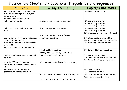# Foundation: Chapter 5 - Equations, Inequalities and sequences

| Ability 1-3                                                                                                                                                                    | Ability 4-5 (+ all 1-3)                                                              | <b>Hegarty maths lessons</b>                                                                                                 |
|--------------------------------------------------------------------------------------------------------------------------------------------------------------------------------|--------------------------------------------------------------------------------------|------------------------------------------------------------------------------------------------------------------------------|
| Rearrange simple linear equations to solve<br>Solve simple linear equations using the<br>balancing method<br>Write and solve simple equations                                  |                                                                                      | 178 Solve 1 step equations                                                                                                   |
| Solve two step equations                                                                                                                                                       | Solve two step equations involving shapes                                            | 179 Solve 2 step equations<br>180 Solve 2 step equations<br>182 Solve 2 step equations                                       |
| Solve equations with unknowns on both<br>sides                                                                                                                                 | Solve linear equations with brackets<br>Solve linear equations involving fractions   | 179 Solve 2 step equations<br>183 Solve 3 step equations<br>184 Solve equations with $x$ on both sides 1                     |
| Use correct notation to show the inclusive<br>and exclusive inequalities<br>Write down whole numbers which satisfy<br>an inequality<br>Represent inequalities on a number line | Solve linear inequalities                                                            | 267 integer solutions to inequalities<br>266 Write inequalities from a number line<br>269 Solve single linear inequalities 1 |
|                                                                                                                                                                                | Solve two sided inequalities<br>Identify values that satisfy 2 inequalities          | 272 Solve double linear inequalities                                                                                         |
| Substitute values into a formulae and solve<br>equations<br>know the difference between an                                                                                     | Change the subject of a formulae<br>Substitute in formulae that involves rearranging | 189 Substituting and solving<br>280 Change the subject of the formula 1<br>281 Change the subject of the formula 2           |
| expression, an equation, a formula and an<br>identity                                                                                                                          |                                                                                      |                                                                                                                              |
| Recognise and extend arithmetic,<br>geometric and Fibonacci sequences                                                                                                          |                                                                                      | 263 Fibonacci sequence<br>264 Geometric sequences                                                                            |
|                                                                                                                                                                                | Use the nth term to generate terms of a sequence                                     | 197 Linear sequences (term to term rule)<br>198 Linear sequences (nth term)                                                  |
|                                                                                                                                                                                | Find the nth term of an arithmetic sequences                                         |                                                                                                                              |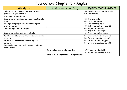# Foundation: Chapter 6 - Angles

| Ability 1-3                                           | Ability 4-5 (+ all 1-3)                      | <b>Hegarty Maths Lessons</b>          |
|-------------------------------------------------------|----------------------------------------------|---------------------------------------|
| Solve geometric problems using side and angle         |                                              | 560 Interior angles in quadrilaterals |
| properties of quadrilaterals                          |                                              | 680 Congruence (1)                    |
| Identify congruent shapes                             |                                              |                                       |
| Understand and use the angle properties of parallel   |                                              | 481 Alternate angles                  |
| lines                                                 |                                              | 482 Co-interior angles                |
| Finding missing angles using corresponding and        |                                              | 483 Corresponding angles              |
| alternate angles                                      |                                              | 490 Multi-step angle problems (3)     |
| Solve angle problems in triangles                     |                                              | 485 Angles in a triangle (1)          |
|                                                       |                                              | 486 Angles in a triangle (2)          |
| Understand angle proofs about triangles               |                                              | 484 Proof - angles in triangles       |
| Calculate the interior and exterior angles of regular |                                              | 561 Interior angles in polygons (1)   |
| polygons                                              |                                              | 563 Exterior angles in polygons (1)   |
| Calculate the interior and exterior angles of         |                                              | 562 Interior angles in polygons (2)   |
| polygons                                              |                                              | 564 Exterior angles in polygons (2)   |
| Explain why some polygons fit together and some       |                                              |                                       |
| others do not                                         |                                              |                                       |
|                                                       | Solve angle problems using equations         | 487 Angles in a triangle (3)          |
|                                                       |                                              | 565 Angles in polygons using algebra  |
|                                                       | Solve geometrical problems showing reasoning |                                       |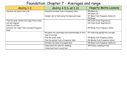# Foundation: Chapter 7 - Averages and range

| Ability 1-3                                 | Ability 4-5 (+ all 1-3)                            | <b>Hegarty Maths Lessons</b>       |
|---------------------------------------------|----------------------------------------------------|------------------------------------|
| Calculate the mean from a list              | Calculate the mean from a frequency table          | 405 Mean (1)                       |
|                                             |                                                    | 406 Mean (2)                       |
|                                             | Compare set of data using the mean and range       | 417 Mean from frequency tables (1) |
|                                             |                                                    | 410 Range                          |
| Find the mode, median and range from a stem |                                                    | 430 Stem & leaf diagrams (1)       |
| and leaf diagram                            |                                                    | 432 Stem & leaf diagrams (2)       |
| Identify outliers                           |                                                    |                                    |
| Estimate the range from a grouped frequency |                                                    | 414 Range from frequency tables    |
| table                                       |                                                    |                                    |
|                                             | Recognise the advantages and disadvantages of each | 413 Selecting appropriate averages |
|                                             | type of average                                    |                                    |
|                                             | Find the modal class                               | 415 Mode from frequency tables     |
|                                             | Find the median from a frequency table             | 416 Median from frequency tables   |
|                                             | Estimate the mean of grouped data                  | 418 Mean from frequency tables (2) |
|                                             | Understand the need for sampling                   | 394 Census, sampling & bias        |
|                                             | Understand how to avoid bias                       |                                    |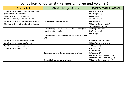#### Foundation: Chapter 8 - Perimeter, area and volume 1

| Ability 1-3                                     | Ability 4-5 (+ all 1-3)                                | <b>Hegarty Maths Lessons</b>      |
|-------------------------------------------------|--------------------------------------------------------|-----------------------------------|
| Calculate the perimeter and area of rectangles, |                                                        | 549 Perimeter (2)                 |
| parallelograms and triangles                    |                                                        | 557 Triangles (1)                 |
| Estimate lengths, areas and costs.              |                                                        | 554 Rectangles                    |
| Calculate a missing length given the area       |                                                        | 556 Parallelograms                |
| Calculate the area and perimeter of trapezia.   | Convert between area measures                          | 559 Trapezium                     |
| Find the height of a trapezium given its area   |                                                        | 700 Converting area units (1)     |
|                                                 |                                                        | 701 Converting area units (2)     |
|                                                 | Calculate the perimeter and area of shapes made from   | 555 Compound shapes               |
|                                                 | triangles and rectangles                               | 548 Perimeter (1)                 |
|                                                 |                                                        | 558 Triangles (2)                 |
|                                                 | Calculate areas in hectares and convert between ha and |                                   |
|                                                 | $m^2$                                                  |                                   |
| Calculate the surface area of a cuboid          |                                                        | 584 Surface area of cuboids       |
| Calculate the surface area of a prism           |                                                        | 585 Surface area of prisms        |
| Calculate the volume of a cuboid                |                                                        | 568 Cuboids (1)                   |
| Calculate the volume of a prism                 |                                                        | 570 Prisms (1)                    |
|                                                 |                                                        | 571 Prisms (2)                    |
|                                                 | Solve problems involving surface area and volume       | 569 Cuboids (2)                   |
|                                                 |                                                        | 589 Surface area (multi-step) (1) |
|                                                 |                                                        | 590 Surface area (multi-step) (2) |
|                                                 | Convert between measures of volume                     | 702 Converting volume units (1)   |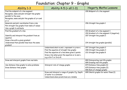# Foundation: Chapter 9 - Graphs

| Ability 1-3                                    | Ability 4-5 (+ all 1-3)                          | <b>Hegarty Maths Lessons</b>                |
|------------------------------------------------|--------------------------------------------------|---------------------------------------------|
| Find the midpoint of a line segment            |                                                  | 200 Midpoint of a line segment              |
| Recognise, name and plot straight line graphs  |                                                  |                                             |
| parallel to the axes                           |                                                  |                                             |
| Recognise, name and plot the graphs of y=x and |                                                  |                                             |
| $y=-x$                                         |                                                  |                                             |
| Generate and plot coordinates from a rule      |                                                  | 206 Straight line graphs 1                  |
| Plot straight line graphs from table of values |                                                  |                                             |
| Use a graph to estimate                        |                                                  |                                             |
| Find the gradient of a line                    |                                                  | 201 Gradient of a line segment 1            |
|                                                |                                                  | 202 Gradient of a line segment 2 (negative) |
| Identify and interpret the gradient from an    |                                                  | 207 Straight line graphs 2                  |
| equation                                       |                                                  |                                             |
| Draw a line with a given gradient              |                                                  |                                             |
| Understand that parallel lines have the same   |                                                  | 214 Straight line graphs (parallel)         |
| gradient                                       |                                                  |                                             |
|                                                | Understand what m and c represent in y=mx+c      | 207 Straight line graphs 2                  |
|                                                | Find the equation of straight line graphs        | 208 Straight line graphs 3                  |
|                                                | Find the equation of a line when given 2 points  | 213 Straight line graphs 8                  |
|                                                | Draw a line when given the equation or m and c.  |                                             |
|                                                | e.g y=2x+7 or 2x+y=8                             |                                             |
| Draw and interpret graphs from real data       |                                                  | 894 Interpreting real-life graphs           |
|                                                |                                                  | 895 Drawing real-life graphs                |
| Use distance-time graphs to solve problems     | Interpret rate of change graphs                  | 874 Distance-time graphs (1)                |
| Draw distance-time graphs                      |                                                  | 875 Distance-time graphs (2)                |
|                                                |                                                  | 896 Rate of changes graphs                  |
|                                                | Draw and interpret a range of graphs. E.g. Depth | 899 Sketch graphs for water flows (1)       |
|                                                | of water in a container                          |                                             |
|                                                | Understand when predictions are reliable         |                                             |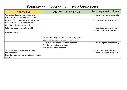# Foundation: Chapter 10 - Transformations

| Ability 1-3                                   | Ability 4-5 (+ all 1-3)                              | Hegarty maths videos               |
|-----------------------------------------------|------------------------------------------------------|------------------------------------|
| Translate a shape on a coordinate grid        |                                                      | (650Describing transformations 1)  |
| Use a column vector to describe a translation |                                                      |                                    |
| Draw a reflection of a shape in a mirror line |                                                      | (652 describing transformations 3) |
| Draw reflections on a coordinate grid         |                                                      |                                    |
| Describe reflections on a coordinate grid     |                                                      |                                    |
| Rotate a shape on a coordinate grid           |                                                      | (653 describing transformations 4) |
|                                               |                                                      | (654 Describing transformations 5) |
| Describe a rotation                           |                                                      |                                    |
|                                               |                                                      |                                    |
|                                               | Enlarge a shape by a scale factor (including halves) |                                    |
|                                               | Enlarge a shape using a centre of enlargement        |                                    |
|                                               | Identify the scale factor of an enlargement          | (651 describing transformations 2) |
|                                               | Find the centre of an enlargement                    |                                    |
|                                               | Fully describe an enlargement                        |                                    |
| Transform shapes using more than one          |                                                      | (656 combined transformations 1)   |
| transformation                                |                                                      | (657 combined transformations 2)   |
| Describe combined transformations of shapes   |                                                      |                                    |
| on a grid                                     |                                                      |                                    |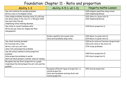# Foundation: Chapter 11 - Ratio and proportion

| Ability 1-3                                               | Ability 4-5 (+ all 1-3)                       | <b>Hegarty maths Lesson</b>                  |
|-----------------------------------------------------------|-----------------------------------------------|----------------------------------------------|
| Use ratio notation for worded problems                    |                                               | (328 Compare quantities using ratios)        |
| Write a ratio in its simplest form)                       |                                               | (329 Simplifying Ratios)                     |
| Solve simple problems involving ratios. E.g. Bill and     |                                               | (333 Share in a given ratio 2)               |
| Ann share money in the ratio 1:2, if Bill gets £100       |                                               | (329 Simplifying Ratios)                     |
| how much does Ann get                                     |                                               |                                              |
| Simplifying ratios involving decimals                     |                                               |                                              |
| Use ratios to convert between units                       |                                               | (339 Direct proportion 1)                    |
| Write and use ratios for shapes and their<br>enlargements |                                               |                                              |
|                                                           |                                               |                                              |
|                                                           | Divide a quantity into a given ratio          | (332 share in a given ratio 2)               |
|                                                           | Solve word problems using ratios              | (334 share in a given ratio 3)               |
| Use ratios involving decimals                             |                                               | (330 write ratios as fractions /proportions) |
| Put fractions into a ratio                                |                                               | (331 write ratios in the form 1:n)           |
| Write a ratio as a unit ratio                             |                                               | (739 recipe problems)                        |
| Solve ratio and proportion problems                       |                                               |                                              |
| Use the unitary method to solve proportion                |                                               |                                              |
| problems                                                  |                                               | (340 Direct proportion 2)                    |
| Solve proportion problems in words                        |                                               | (341 direct proportion 3)                    |
| Work out which product is better value for money)         |                                               |                                              |
| Recognise and use direct proportion on a graph            |                                               |                                              |
| Understand the link between the unit ratio and the        |                                               |                                              |
| gradient                                                  |                                               |                                              |
|                                                           | Recognise different types of proportion. i.e. | (342 inverse proportion)                     |
|                                                           | inverse proportion                            |                                              |
|                                                           | Solve word problems involving direct and      |                                              |
|                                                           | inverse proportion                            |                                              |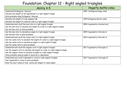# Foundation: Chapter 12 - Right angled triangles

| Ability 4-5                                                                        | Hegarty maths video             |
|------------------------------------------------------------------------------------|---------------------------------|
| Understand Pythagoras' theorem                                                     | (498 - Pythagoras longer side)  |
| Calculate the length of the hypotenuse in a right angled triangle                  |                                 |
| Solve problems using Pythagoras' theorem                                           |                                 |
| Calculate the length of a line segment AB                                          | (449 Pythagoras shorter side)   |
| Calculate the length of a shorter side in a right angled triangle                  |                                 |
| Understand and recall the sine ratio in a right angled triangle                    | (508 trigonometry introduction) |
| Use the sine ratio to calculate the length of a side in a right angled triangle    |                                 |
| Use the sine ratio to solve problems                                               |                                 |
| Use the sine ratio to calculate an angle in a right angled triangle                | (509 trigonometry find side 1)  |
| Use the sine ratio to solve problems                                               |                                 |
| Understand and recall the cosine ratio in a right angled triangle                  | (510 trigonometry find side 2)  |
| Use the cosine ratio to calculate the length of a side in a right angled triangle  |                                 |
| Use the cosine ratio to calculate an angle in a right angled triangle              |                                 |
| Use the cosine ratio to solve problems                                             |                                 |
| Understand and recall the tangent ratio in right angled triangles                  | (511 Trigonometry find angle 1) |
| Use the tangent ratio to calculate the length of a side in a right angled triangle |                                 |
| Use the tangent ration to calculate an angle in a right angled triangle            |                                 |
| Solve problems using an angle of elevation or depression                           |                                 |
| Understand and recall trigonometric ratios in right angled triangles               | (512 Trigonometry find angle 2) |
| Use trigonometric ratios to solve problems                                         |                                 |
| Know the exact values of sine, cosine and tangent of some angles                   |                                 |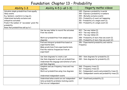# Foundation: Chapter 13 - Probability

| Ability 1-3                                                                                                                                                                                                                                                             | Ability 4-5 (+ all 1-3)                                                                                                                                          | Hegarty maths videos                                                                                                                                                                                                                                |
|-------------------------------------------------------------------------------------------------------------------------------------------------------------------------------------------------------------------------------------------------------------------------|------------------------------------------------------------------------------------------------------------------------------------------------------------------|-----------------------------------------------------------------------------------------------------------------------------------------------------------------------------------------------------------------------------------------------------|
| Calculate simple probabilities from equally<br>likely events.<br>E.g. Spinners, counters in a bag etc.<br>Understand mutually exclusive and<br>exhaustive outcomes<br>Predict the number of 'successes' given the<br>probability<br>Know that probabilities add up to 1 |                                                                                                                                                                  | 349 - Express a probability in words<br>350 - Express a probability in numbers<br>354 - Mutually exclusive events<br>353 - Probability of event not happening<br>351 - Probability of a single event (1)<br>352 - Probability of a single event (2) |
|                                                                                                                                                                                                                                                                         | Use two way tables to record the outcomes<br>from two events                                                                                                     | 422 - Two-way tables (1)<br>423 - Two-way tables (2)<br>424 - Two-way tables (3)                                                                                                                                                                    |
|                                                                                                                                                                                                                                                                         | Work out probabilities from sample space<br>diagrams                                                                                                             | 358 - Probability of more than one event (1)<br>359 - Probability of more than one event (2)                                                                                                                                                        |
|                                                                                                                                                                                                                                                                         | Find and interpret probabilities based on<br>experimental data<br>Make predictions from experimental data<br>Find the relative frequencies from an<br>experiment | 356 - Experimental probability and relative<br>frequency                                                                                                                                                                                            |
|                                                                                                                                                                                                                                                                         | Use Venn diagrams to create a set<br>Use Venn diagrams to work out probabilities<br>Understand the language and notation of sets<br>and Venn diagrams            | 383 - Venn diagrams for probability (1)<br>384 - Venn diagrams for probability (2)                                                                                                                                                                  |
|                                                                                                                                                                                                                                                                         | Complete and use frequency trees and tree<br>diagrams<br>Work out probabilities using tree diagrams<br>Understand independent events                             | 368 - Frequency trees (1)<br>367 - Frequency trees (2)<br>361 - Independent events and probability trees (1)<br>362 - Independent events and probability trees (2)                                                                                  |
|                                                                                                                                                                                                                                                                         | Understand when events are not independent<br>Solve probability problems involving events<br>that are not independent                                            | 364 - Conditional probability (1)                                                                                                                                                                                                                   |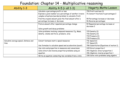### Foundation: Chapter 14 - Multiplicative reasoning

| Ability 1-3                           | Ability 4-5 (+ all 1-3)                                                                                             | <b>Hegarty Maths Lesson</b>                      |
|---------------------------------------|---------------------------------------------------------------------------------------------------------------------|--------------------------------------------------|
|                                       | Calculate a percentage profit or loss                                                                               | 759 Profit and loss (1)                          |
|                                       | Express a given number as a percentage of another in more<br>complex situations (worded problem to calculate first) | 76 Convert fractions to percentages 2            |
|                                       | Find the original amount given the final amount after a                                                             | 90 Percentage increase or decrease               |
|                                       | percentage increase or decrease                                                                                     | 96 Reverse percentages                           |
|                                       | Find an amount after repeated percentage change                                                                     | 92 Repeated percentage increase or<br>decrease 2 |
|                                       | Solve growth and decay problems                                                                                     |                                                  |
|                                       | Solve problems involving compound measures. E.g. Mass,                                                              | 725 Density (1)                                  |
|                                       | density, volume and force, pressure, area                                                                           | 726 Density (2)                                  |
|                                       |                                                                                                                     | 734 Pressure (1)                                 |
|                                       |                                                                                                                     | 735 Pressure (2)                                 |
| Calculate average speed, distance and | Convert between metric speed measures                                                                               | 716 Speed (1)                                    |
| time                                  |                                                                                                                     | 717 Speed (2)                                    |
|                                       | Use formulae to calculate speed and acceleration (suvat)                                                            | 788 Substitution (Equations of motion 1)         |
|                                       | Use ratio and proportion in measures and conversions                                                                | 339 Direct proportion 1                          |
|                                       | Solve direct and inverse proportion problems using an                                                               | 343 Algebraic direct proportion 1                |
|                                       | equation                                                                                                            | 346 Algebraic inverse proportion 1               |
|                                       | Write an equation connecting two variables from a ratio                                                             | 338 Solve ratio problems using algebra           |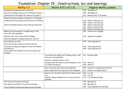#### Foundation: Chapter 15 - Constructions, loci and bearings

| Ability 1-3                                           | Ability 4-5 (+ all 1-3)                                         | <b>Hegarty Maths Lessons</b>                                   |
|-------------------------------------------------------|-----------------------------------------------------------------|----------------------------------------------------------------|
| Recognise 3D shapes and their properties              |                                                                 | 829 - 3D shapes (1)                                            |
| Describe 3D shapes using correct mathematical words   |                                                                 | 830 - 3D shapes (2)                                            |
| Understand the 2D shapes that make up 3D objects      |                                                                 | 831 - Naming faces of 3D shapes                                |
| Identify and sketch planes of symmetry of 3D shapes   |                                                                 |                                                                |
| Understand and draw plans and elevations of 3D shapes |                                                                 | 837 - Planes of elevation (1)                                  |
|                                                       |                                                                 | 838 - Planes of elevation (2)                                  |
| Sketch 3D shapes based on their plans and elevations  |                                                                 | 839 - Planes of elevation (3)<br>841 - Planes of elevation (5) |
|                                                       |                                                                 | 842 - Planes of elevation (6)                                  |
| Make accurate drawings of triangles using a ruler,    |                                                                 | 683 - Constructing triangles                                   |
| protractor and compasses                              |                                                                 |                                                                |
| Identify SSS, ASA, SAS and RHS triangles              |                                                                 | 682 - Congruent triangles                                      |
| Identify congruent triangles using SSS, ASA etc       |                                                                 |                                                                |
| Draw diagrams to scale                                |                                                                 | 864 - Scale Diagrams (1)                                       |
| Correctly interpret scales in real life contexts      |                                                                 |                                                                |
| Use scales on maps and diagrams to work out lengths   |                                                                 | 865 - Scale Diagrams (2)                                       |
| and distances                                         |                                                                 | 866 - Scale Diagrams (3)                                       |
| Draw lengths and distances correctly on given scale   |                                                                 |                                                                |
| drawings                                              | Accurately draw angles and 2D shapes using a ruler,             | 461 - Drawing angles                                           |
|                                                       | protractor and compasses.                                       |                                                                |
|                                                       | Construct a polygon inside a circle                             |                                                                |
|                                                       | Recognise nets and make accurate drawings of nets               | 833 - Nets (1)                                                 |
|                                                       | of common 3D objects                                            | 834 - Nets (2)                                                 |
|                                                       | Draw accurately using rulers and compasses                      | 660 - Construct a perpendicular bisector                       |
|                                                       | Bisect angles and lines using rulers and compasses              | 661 - Construct an angle bisector                              |
|                                                       | Draw loci for the path of points that follow a given            | 674 - Loci (1)                                                 |
|                                                       | rule                                                            | 675 - Loci (2)                                                 |
|                                                       | Identify regions bounded by loci to solve practical<br>problems | 679 - Loci (problem solving)                                   |
| Find and use three figure bearings                    |                                                                 | 492 - Bearings (1)                                             |
| Use angles on parallel line to work out bearings      |                                                                 | 493 - Bearings (2)                                             |
| Solve problems involving bearings and scale drawings  |                                                                 | 869 - Scale diagrams with bearings                             |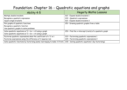### Foundation: Chapter 16 - Quadratic equations and graphs

| Ability 4-5                                                                  | <b>Hegarty Maths Lessons</b>                            |
|------------------------------------------------------------------------------|---------------------------------------------------------|
| Multiply double brackets                                                     | 162 - Expand double brackets 1                          |
| Recognise a quadratic expression                                             | 222 - Quadratic expressions                             |
| Square single brackets                                                       | 163 - Expand double brackets 2                          |
| Plot graphs of quadratic functions                                           | 251 - Drawing quadratic graphs from a table             |
| Recognise a quadratic function                                               |                                                         |
| Use quadratic graphs to solve problems                                       |                                                         |
| Solve quadratic equations $ax^2 + bx + c = 0$ using a graph                  | 253 - Find the x-intercept (roots) of a quadratic graph |
| Solve quadratic equations $ax^2 + bx + c = k$ using a graph                  |                                                         |
| Factorise quadratic expressions when the coefficient of $x^2$ is 1           | 223 - Factorising quadratic expressions 1               |
| Factorise expressions using the difference of 2 squares rule                 | 224 - Factorising quadratic expressions 2               |
| Solve quadratic functions by factorising (some rearranging to make =0 first) | 230 - Solving quadratic equations 1 (by factorising)    |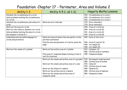# Foundation: Chapter 17 - Perimeter, Area and Volume 2

| Ability 1-3                                   | Ability 4-5 (+ all 1-3)                            | <b>Hegarty Maths Lessons</b>      |
|-----------------------------------------------|----------------------------------------------------|-----------------------------------|
| Calculate the circumference of a circle       |                                                    | 534 - Circumference of a circle 1 |
| Solve problems involving the circumference    |                                                    | 535 - Circumference of a circle 2 |
| of a circle                                   |                                                    | 536 - Circumference of a circle 3 |
| Calculate the circumference and radius of a   | Work out error intervals                           | 774 - Error intervals 1           |
| circle                                        |                                                    | 775 - Error intervals 2           |
| Work out the area of a circle                 |                                                    | 539 - Area of a circle (1)        |
| Work out the radius or diameter of a circle   |                                                    | 540 - Area of a circle (2)        |
| Solve problems involving the area of a circle |                                                    | 541 - Area of a circle (3)        |
| Give answers in terms of $\pi$                |                                                    | 542 - Area of a circle (4)        |
| Understand and use maths language for         | Work out areas of semicircles and quarter circles  | 592 - Parts of the circle         |
| circles and perimeters                        | and their perimeters                               |                                   |
|                                               | Find the area and perimeter of a sector given the  | 546 - Area of a sector $(1)$      |
|                                               | angle                                              | 544 - Arc length (1)              |
|                                               |                                                    | 545 - Arc length (2)              |
| Work out the volume of a cylinder             | Work out the surface area of a cylinder            | 572 - Cylinders (1)               |
|                                               |                                                    | 586 - Surface area of cylinders   |
|                                               | Find areas of compound shapes involving circles in | 555 - Compound shapes             |
|                                               | real life situations                               |                                   |
|                                               | Work out the volume and surface area of a pyramid  | 579 - Rectangular based pyramid   |
|                                               |                                                    | 585 - Surface area of prisms      |
|                                               | Work out the volume and surface area of a cone     | $576 - \text{Cones} (1)$          |
|                                               |                                                    | 578 - Surface area of cones       |
|                                               | Work out the volume of a sphere                    | 580 - Spheres (1)                 |
|                                               | Work out the surface area of a sphere              | 588 - Surface area of spheres     |
|                                               | Work out the volume and surface area of            | 582 - Compound volume             |
|                                               | composite solids                                   |                                   |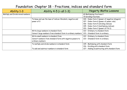#### Foundation: Chapter 18 - Fractions, indices and standard form

| Ability 1-3                       | Ability 4-5 (+ all 1-3)                                      | <b>Hegarty Maths Lessons</b>                    |
|-----------------------------------|--------------------------------------------------------------|-------------------------------------------------|
| Multiply and Divide mixed numbers |                                                              | 69 Multiplying fractions 2                      |
|                                   |                                                              | 70 Dividing fractions                           |
|                                   | To know and use the laws of indices: Brackets, negative and  | 104 - Index form 3 (power of negative integers) |
|                                   | power of 0                                                   | 107 - Index form 6 (power of power rule)        |
|                                   |                                                              | 106 - Index form 5 (dividing indices)           |
|                                   |                                                              | 105 - Index form 4 (multiplying indices)        |
|                                   |                                                              | 103 - Index form 2 (power of 0 & 1)             |
|                                   | Write large numbers in standard form                         | 122 - Ordinary to standard form                 |
|                                   | Convert large numbers from standard form to ordinary numbers | 123 - Standard form to ordinary                 |
|                                   | Write small numbers in standard from                         | 122 - Ordinary to standard form                 |
|                                   | Convert numbers from standard form with negative powers to   | 123 - Standard form to ordinary                 |
|                                   | ordinary numbers                                             |                                                 |
|                                   | To multiply and divide numbers in standard form              | 125 - Multiplying with standard form            |
|                                   |                                                              | 126 - Dividing with standard form               |
|                                   | To add and subtract numbers in standard form                 | 127 - Adding & subtracting with standard form   |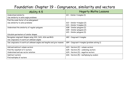# Foundation: Chapter 19 - Congruence, similarity and vectors

| Ability 4-5                                                            | <b>Hegarty Maths Lessons</b>                  |
|------------------------------------------------------------------------|-----------------------------------------------|
| Understand similarity                                                  | 611 - Similar triangles (1)                   |
| Use similarity to solve angle problems                                 |                                               |
| Find the scale factor of an enlargement                                |                                               |
| Use similarity to solve problems                                       | 612 - Similar triangles (2)                   |
|                                                                        | 613 - Similar triangles (3)                   |
| Understand the similarity of regular polygons                          | 608 - Similar polygons (1)                    |
|                                                                        | 609 - Similar polygons (2)                    |
|                                                                        | 610 - Similar polygons (3)                    |
| Calculate perimeters of similar shapes                                 |                                               |
| Recognise congruent shapes using SSS, SAS, ASA and RHS                 | 682 - Congruent triangles                     |
| Use congruence to work out unknown angles                              |                                               |
| Use congruence to work out unknown angles and lengths and give reasons | 684 - Congruent triangles (problem solving 1) |
| Add and subtract column vectors                                        | 623 - Vectors (2) - column vectors            |
| Find the resultant of 2 vectors                                        | 625 - Vectors (4) - combining vectors         |
| Understand and use vector notation                                     | 624 - Vectors (3) - negative vectors          |
| Subtract vectors                                                       | 626 - Vectors (5) - multiplying by scalars    |
| Find multiples of vectors                                              |                                               |